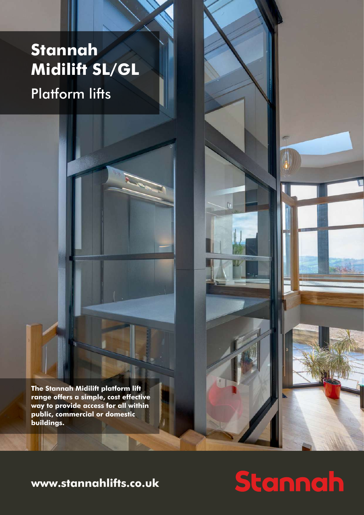## **Stannah Midilift SL/GL**

Platform lifts

**The Stannah Midilift platform lift range offers a simple, cost effective way to provide access for all within public, commercial or domestic buildings.** 

### **www.stannahlifts.co.uk**

# Stannah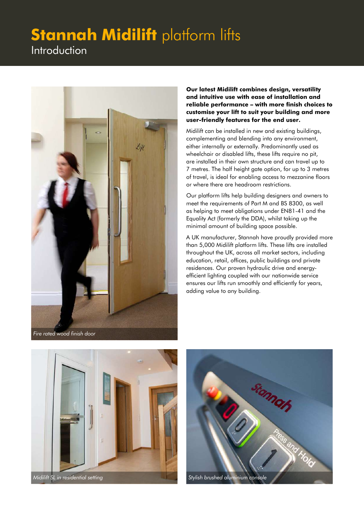Introduction



**Our latest Midilift combines design, versatility and intuitive use with ease of installation and reliable performance – with more finish choices to customise your lift to suit your building and more user-friendly features for the end user.** 

Midilift can be installed in new and existing buildings, complementing and blending into any environment, either internally or externally. Predominantly used as wheelchair or disabled lifts, these lifts require no pit, are installed in their own structure and can travel up to 7 metres. The half height gate option, for up to 3 metres of travel, is ideal for enabling access to mezzanine floors or where there are headroom restrictions.

Our platform lifts help building designers and owners to meet the requirements of Part M and BS 8300, as well as helping to meet obligations under EN81-41 and the Equality Act (formerly the DDA), whilst taking up the minimal amount of building space possible.

A UK manufacturer, Stannah have proudly provided more than 5,000 Midilift platform lifts. These lifts are installed throughout the UK, across all market sectors, including education, retail, offices, public buildings and private residences. Our proven hydraulic drive and energyefficient lighting coupled with our nationwide service ensures our lifts run smoothly and efficiently for years, adding value to any building.



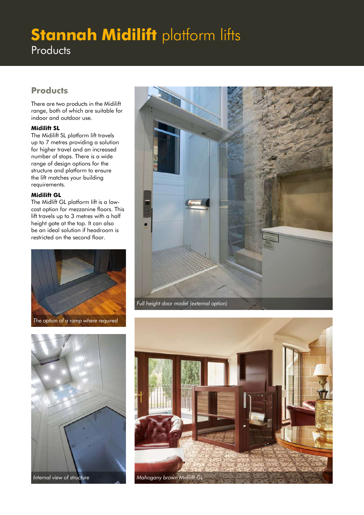### **Stannah Midilift platform lifts Products**

#### **Products**

There are two products in the Midilift range, both of which are suitable for indoor and outdoor use.

#### **Midilift SL**

The Midilift SL platform lift travels up to 7 metres providing a solution for higher travel and an increased number of stops. There is a wide range of design options for the structure and platform to ensure the lift matches your building requirements.

#### **Midilift GL**

The Midlift GL platform lift is a lowcost option for mezzanine floors. This lift travels up to 3 metres with a half height gate at the top. It can also be an ideal solution if headroom is restricted on the second floor.



*The option of a ramp where required*



*Internal view of structure*



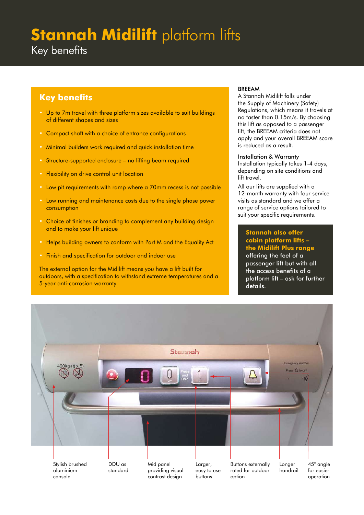Key benefits

#### **Key benefits**

- Up to 7m travel with three platform sizes available to suit buildings of different shapes and sizes
- Compact shaft with a choice of entrance configurations
- Minimal builders work required and quick installation time
- Structure-supported enclosure no lifting beam required
- Flexibility on drive control unit location
- Low pit requirements with ramp where a 70mm recess is not possible
- Low running and maintenance costs due to the single phase power consumption
- Choice of finishes or branding to complement any building design and to make your lift unique
- Helps building owners to conform with Part M and the Equality Act
- Finish and specification for outdoor and indoor use

The external option for the Midilift means you have a lift built for outdoors, with a specification to withstand extreme temperatures and a 5-year anti-corrosion warranty.

#### BREEAM

A Stannah Midilift falls under the Supply of Machinery (Safety) Regulations, which means it travels at no faster than 0.15m/s. By choosing this lift as opposed to a passenger lift, the BREEAM criteria does not apply and your overall BREEAM score is reduced as a result.

#### Installation & Warranty

Installation typically takes 1-4 days, depending on site conditions and lift travel.

All our lifts are supplied with a 12-month warranty with four service visits as standard and we offer a range of service options tailored to suit your specific requirements.

**Stannah also offer cabin platform lifts – the Midilift Plus range** offering the feel of a passenger lift but with all the access benefits of a platform lift – ask for further details.

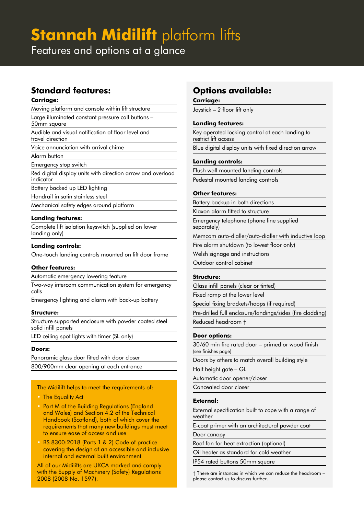Features and options at a glance

#### **Standard features:**

#### **Carriage:**

Moving platform and console within lift structure

Large illuminated constant pressure call buttons – 50mm square

Audible and visual notification of floor level and travel direction

Voice annunciation with arrival chime

Alarm button

Emergency stop switch

Red digital display units with direction arrow and overload indicator

Battery backed up LED lighting

Handrail in satin stainless steel

Mechanical safety edges around platform

#### **Landing features:**

Complete lift isolation keyswitch (supplied on lower landing only)

#### **Landing controls:**

One-touch landing controls mounted on lift door frame

#### **Other features:**

Automatic emergency lowering feature

Two-way intercom communication system for emergency calls

Emergency lighting and alarm with back-up battery

#### **Structure:**

Structure supported enclosure with powder coated steel solid infill panels

LED ceiling spot lights with timer (SL only)

#### **Doors:**

Panoramic glass door fitted with door closer 800/900mm clear opening at each entrance

The Midilift helps to meet the requirements of:

- The Equality Act
- Part M of the Building Regulations (England and Wales) and Section 4.2 of the Technical Handbook (Scotland), both of which cover the requirements that many new buildings must meet to ensure ease of access and use
- BS 8300:2018 (Parts 1 & 2) Code of practice covering the design of an accessible and inclusive internal and external built environment

All of our Midilifts are UKCA marked and comply with the Supply of Machinery (Safety) Regulations 2008 (2008 No. 1597).

#### **Options available:**

#### **Carriage:**

Joystick – 2 floor lift only

#### **Landing features:**

Key operated locking control at each landing to restrict lift access

Blue digital display units with fixed direction arrow

#### **Landing controls:**

Flush wall mounted landing controls Pedestal mounted landing controls

#### **Other features:**

Battery backup in both directions

Klaxon alarm fitted to structure

Emergency telephone (phone line supplied separately)

Memcom auto-dialler/auto-dialler with inductive loop

Fire alarm shutdown (to lowest floor only)

Welsh signage and instructions

Outdoor control cabinet

#### **Structure:**

Glass infill panels (clear or tinted)

Fixed ramp at the lower level

Special fixing brackets/hoops (if required)

Pre-drilled full enclosure/landings/sides (fire cladding) Reduced headroom †

#### **Door options:**

30/60 min fire rated door – primed or wood finish (see finishes page)

Doors by others to match overall building style

Half height gate – GL

Automatic door opener/closer

Concealed door closer

#### **External:**

External specification built to cope with a range of weather

E-coat primer with an architectural powder coat

#### Door canopy

Roof fan for heat extraction (optional)

Oil heater as standard for cold weather

IP54 rated buttons 50mm square

† There are instances in which we can reduce the headroom – please contact us to discuss further.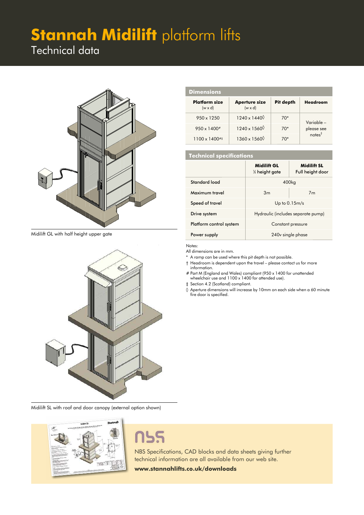### Technical data



Midilift GL with half height upper gate



Midilift SL with roof and door canopy (external option shown)



## กรร

NBS Specifications, CAD blocks and data sheets giving further technical information are all available from our web site.

**www.stannahlifts.co.uk/downloads**

| <b>Dimensions</b>                      |                                        |           |                                  |  |
|----------------------------------------|----------------------------------------|-----------|----------------------------------|--|
| <b>Platform size</b><br>$(w \times d)$ | <b>Aperture size</b><br>$(w \times d)$ | Pit depth | Headroom                         |  |
| $950 \times 1250$                      | $1240 \times 1440$                     | $70*$     | Variable –                       |  |
| $950 \times 1400^*$                    | $1240 \times 1560^{\circ}$             | $70*$     | please see<br>notes <sup>†</sup> |  |
| $1100 \times 1400$ ##                  | $1360 \times 1560$                     | $70*$     |                                  |  |

#### **Technical specifications**

|                         | <b>Midilift GL</b><br>1/2 height gate | <b>Midilift SL</b><br>Full height door |  |
|-------------------------|---------------------------------------|----------------------------------------|--|
| Standard load           | 400 <sub>kg</sub>                     |                                        |  |
| Maximum travel          | 3m<br>7 <sub>m</sub>                  |                                        |  |
| Speed of travel         | Up to $0.15m/s$                       |                                        |  |
| Drive system            | Hydraulic (includes separate pump)    |                                        |  |
| Platform control system | Constant pressure                     |                                        |  |
| Power supply            | 240 v single phase                    |                                        |  |

Notes:  $\blacksquare$ Aperture (+10/-0) Footprint

All dimensions are in mm.

 $*$  A ramp can be used where this pit depth is not possible.

- † Headroom is dependent upon the travel please contact us for more **Stannah Lifts Ltd. Information** information.
- # Part M (England and Wales) compliant (950 x 1400 for unattended wheelchair use and 1100 x 1400 for attended use). manon.<br>M (England and Wales<br>elchair use and 1100 x

‡ Section 4.2 (Scotland) compliant.

◊ Aperture dimensions will increase by 10mm on each side when a 60 minute fire door is specified.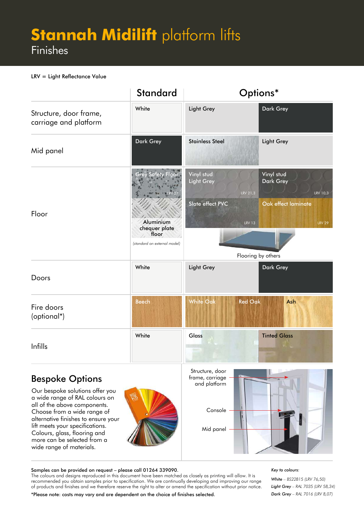### **Stannah Midilift platform lifts** Finishes

#### LRV = Light Reflectance Value

|                                                 | <b>Standard</b>                       |                                 | Options*                                               |
|-------------------------------------------------|---------------------------------------|---------------------------------|--------------------------------------------------------|
| Structure, door frame,<br>carriage and platform | White                                 | <b>Light Grey</b>               | <b>Dark Grey</b>                                       |
| Mid panel                                       | Dark Grey                             | <b>Stainless Steel</b>          | <b>Light Grey</b>                                      |
| Floor                                           | y Safety Floor                        | Vinyl stud<br><b>Light Grey</b> | Vinyl stud<br><b>Dark Grey</b><br>LRV 21,3<br>LRV 10,3 |
|                                                 | Aluminium<br>chequer plate            | Slate effect PVC                | Oak effect laminate<br><b>LRV 13</b><br><b>LRV 29</b>  |
|                                                 | floor<br>(standard on external model) | Flooring by others              |                                                        |
| Doors                                           | White                                 | <b>Light Grey</b>               | Dark Grey                                              |
| Fire doors<br>(optional*)                       | <b>Beech</b>                          | <b>White Oak</b>                | <b>Red Oak</b><br>Ash                                  |
| Infills                                         | White                                 | Glass                           | <b>Tinted Glass</b>                                    |

#### Bespoke Options

Our bespoke solutions offer you a wide range of RAL colours on all of the above components. Choose from a wide range of alternative finishes to ensure your lift meets your specifications. Colours, glass, flooring and more can be selected from a wide range of materials.





#### Samples can be provided on request – please call 01264 339090.

The colours and designs reproduced in this document have been matched as closely as printing will allow. It is recommended you obtain samples prior to specification. We are continually developing and improving our range of products and finishes and we therefore reserve the right to alter or amend the specification without prior notice.

#### *Key to colours:*

*White – BS22B15 (LRV 76,50) Light Grey – RAL 7035 (LRV 58,34) Dark Grey – RAL 7016 (LRV 8,07)* 

\*Please note: costs may vary and are dependent on the choice of finishes selected.